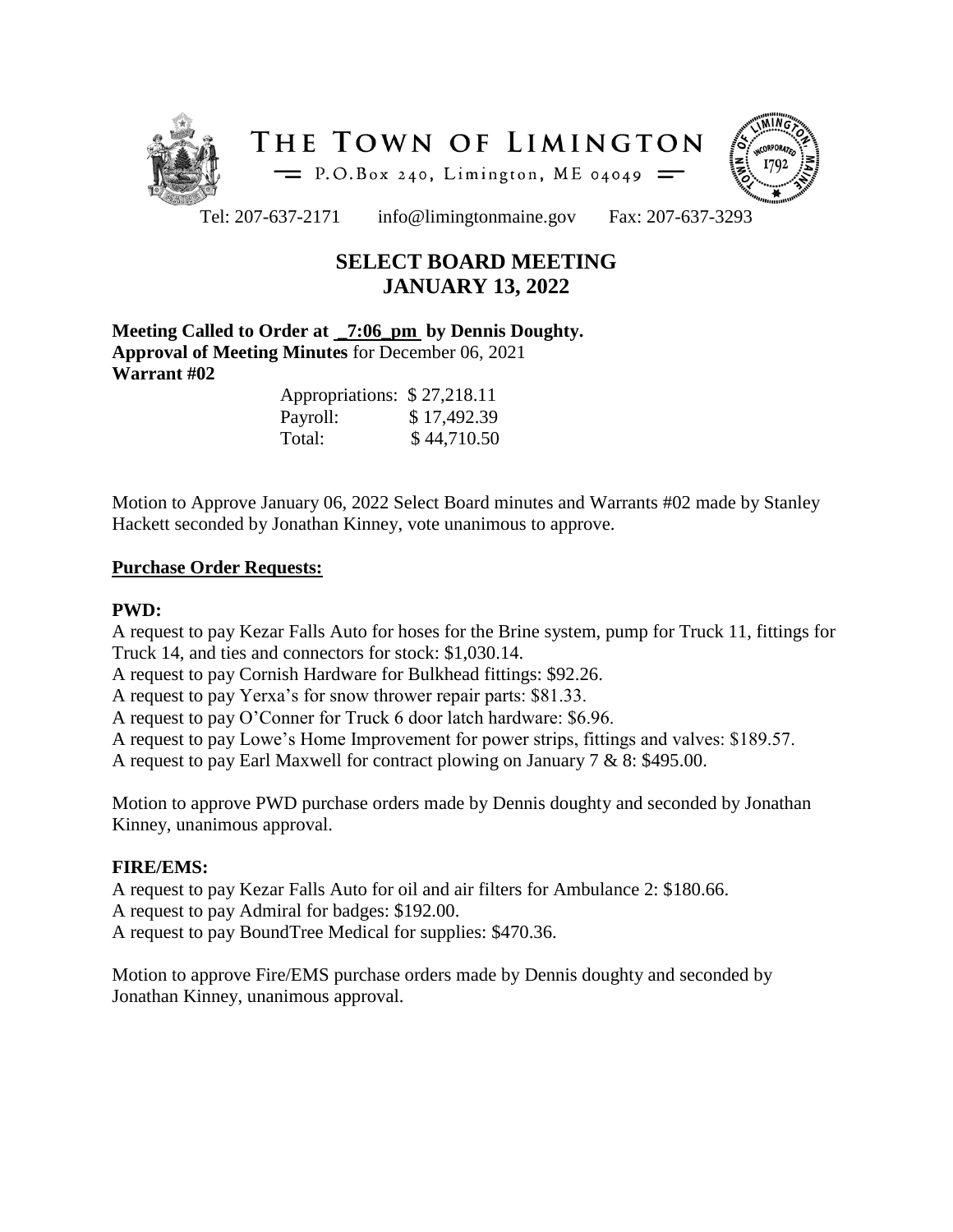



Tel: 207-637-2171 info@limingtonmaine.gov Fax: 207-637-3293

# **SELECT BOARD MEETING JANUARY 13, 2022**

**Meeting Called to Order at \_7:06\_pm by Dennis Doughty. Approval of Meeting Minutes** for December 06, 2021 **Warrant #02**

| Appropriations: \$27,218.11 |             |
|-----------------------------|-------------|
| Payroll:                    | \$17,492.39 |
| Total:                      | \$44,710.50 |

Motion to Approve January 06, 2022 Select Board minutes and Warrants #02 made by Stanley Hackett seconded by Jonathan Kinney, vote unanimous to approve.

## **Purchase Order Requests:**

# **PWD:**

A request to pay Kezar Falls Auto for hoses for the Brine system, pump for Truck 11, fittings for Truck 14, and ties and connectors for stock: \$1,030.14.

A request to pay Cornish Hardware for Bulkhead fittings: \$92.26.

A request to pay Yerxa's for snow thrower repair parts: \$81.33.

A request to pay O'Conner for Truck 6 door latch hardware: \$6.96.

A request to pay Lowe's Home Improvement for power strips, fittings and valves: \$189.57.

A request to pay Earl Maxwell for contract plowing on January 7 & 8: \$495.00.

Motion to approve PWD purchase orders made by Dennis doughty and seconded by Jonathan Kinney, unanimous approval.

## **FIRE/EMS:**

A request to pay Kezar Falls Auto for oil and air filters for Ambulance 2: \$180.66. A request to pay Admiral for badges: \$192.00. A request to pay BoundTree Medical for supplies: \$470.36.

Motion to approve Fire/EMS purchase orders made by Dennis doughty and seconded by Jonathan Kinney, unanimous approval.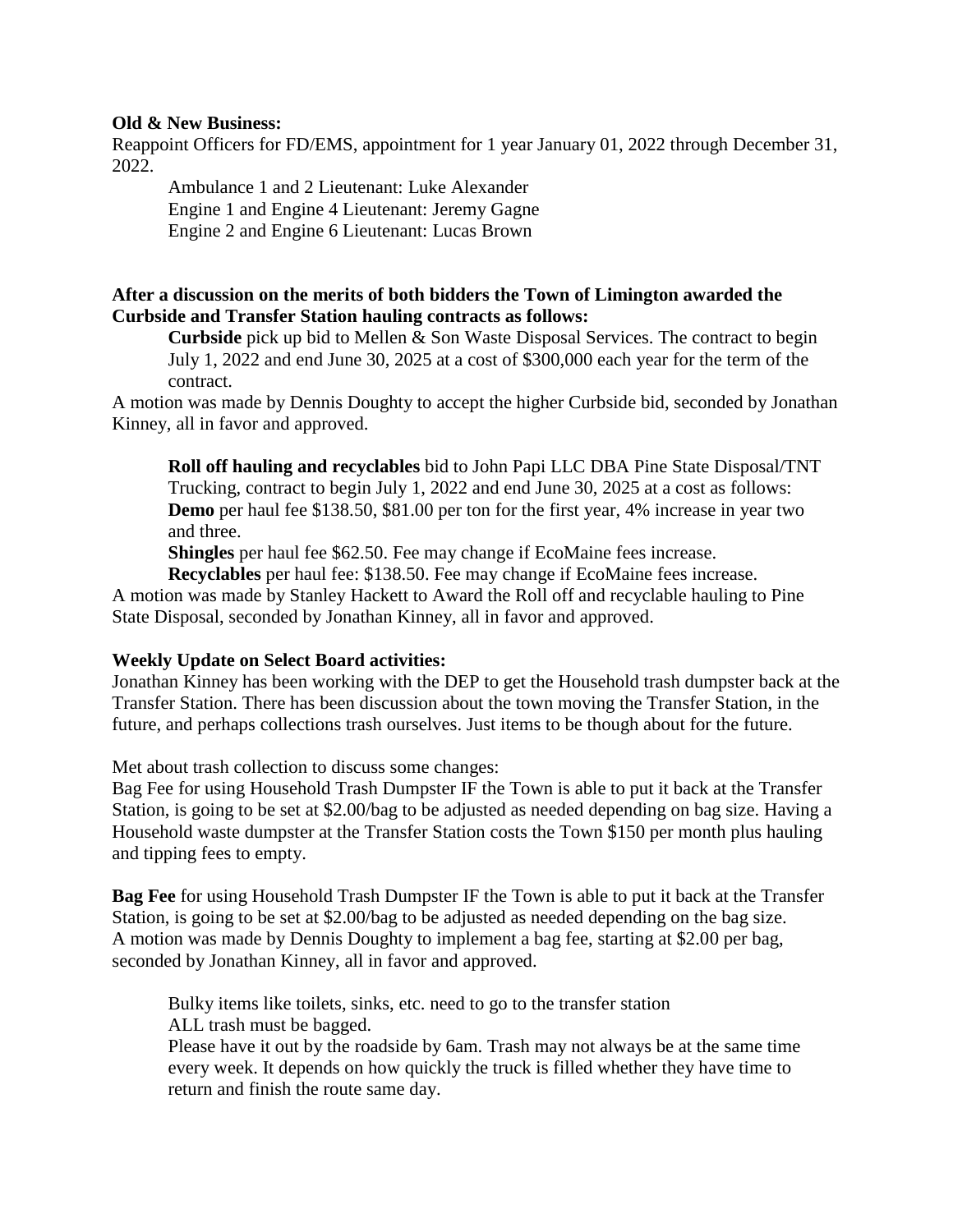#### **Old & New Business:**

Reappoint Officers for FD/EMS, appointment for 1 year January 01, 2022 through December 31, 2022.

Ambulance 1 and 2 Lieutenant: Luke Alexander Engine 1 and Engine 4 Lieutenant: Jeremy Gagne Engine 2 and Engine 6 Lieutenant: Lucas Brown

# **After a discussion on the merits of both bidders the Town of Limington awarded the Curbside and Transfer Station hauling contracts as follows:**

**Curbside** pick up bid to Mellen & Son Waste Disposal Services. The contract to begin July 1, 2022 and end June 30, 2025 at a cost of \$300,000 each year for the term of the contract.

A motion was made by Dennis Doughty to accept the higher Curbside bid, seconded by Jonathan Kinney, all in favor and approved.

**Roll off hauling and recyclables** bid to John Papi LLC DBA Pine State Disposal/TNT Trucking, contract to begin July 1, 2022 and end June 30, 2025 at a cost as follows: **Demo** per haul fee \$138.50, \$81.00 per ton for the first year, 4% increase in year two and three.

**Shingles** per haul fee \$62.50. Fee may change if EcoMaine fees increase.

**Recyclables** per haul fee: \$138.50. Fee may change if EcoMaine fees increase. A motion was made by Stanley Hackett to Award the Roll off and recyclable hauling to Pine State Disposal, seconded by Jonathan Kinney, all in favor and approved.

## **Weekly Update on Select Board activities:**

Jonathan Kinney has been working with the DEP to get the Household trash dumpster back at the Transfer Station. There has been discussion about the town moving the Transfer Station, in the future, and perhaps collections trash ourselves. Just items to be though about for the future.

Met about trash collection to discuss some changes:

Bag Fee for using Household Trash Dumpster IF the Town is able to put it back at the Transfer Station, is going to be set at \$2.00/bag to be adjusted as needed depending on bag size. Having a Household waste dumpster at the Transfer Station costs the Town \$150 per month plus hauling and tipping fees to empty.

**Bag Fee** for using Household Trash Dumpster IF the Town is able to put it back at the Transfer Station, is going to be set at \$2.00/bag to be adjusted as needed depending on the bag size. A motion was made by Dennis Doughty to implement a bag fee, starting at \$2.00 per bag, seconded by Jonathan Kinney, all in favor and approved.

Bulky items like toilets, sinks, etc. need to go to the transfer station ALL trash must be bagged.

Please have it out by the roadside by 6am. Trash may not always be at the same time every week. It depends on how quickly the truck is filled whether they have time to return and finish the route same day.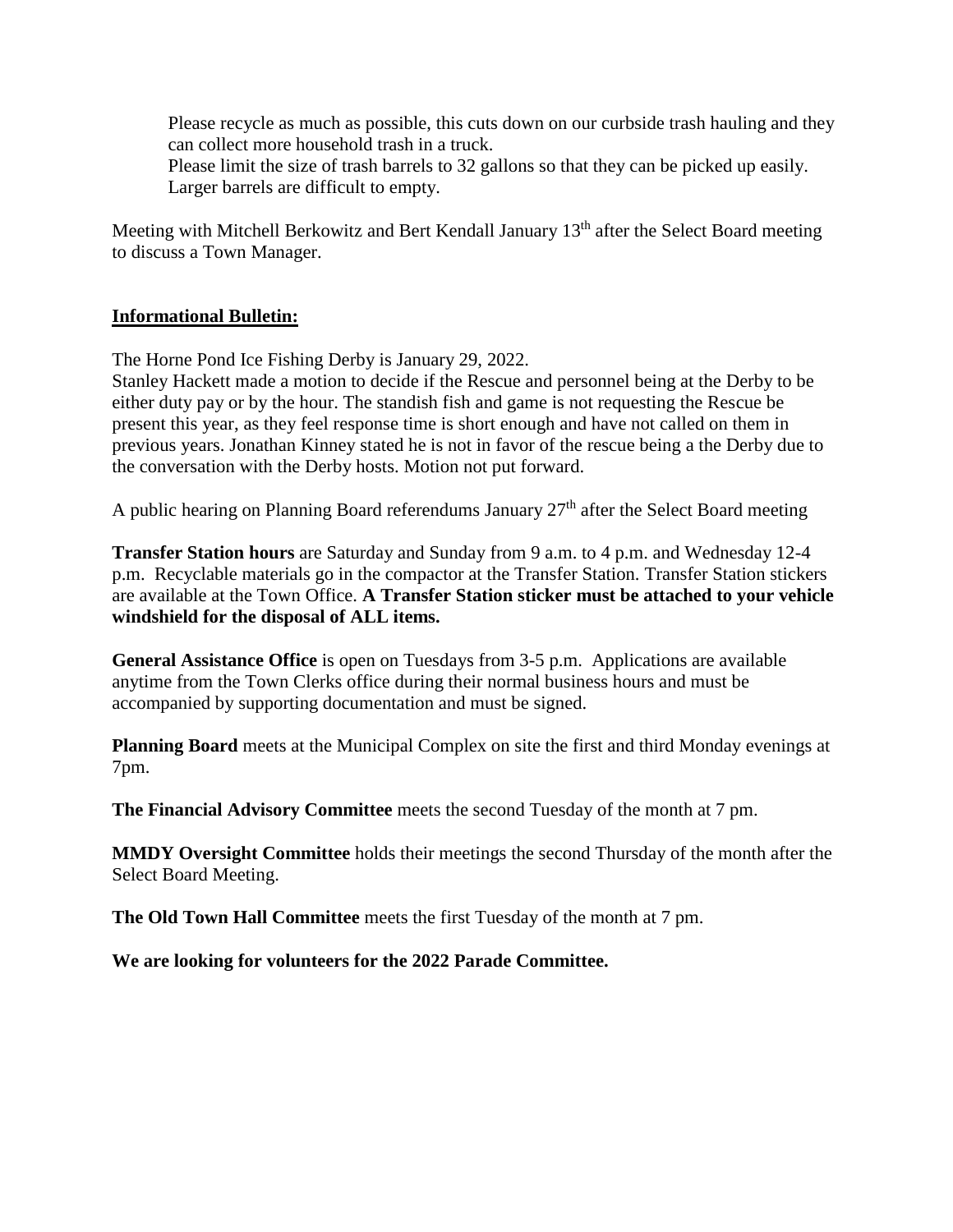Please recycle as much as possible, this cuts down on our curbside trash hauling and they can collect more household trash in a truck.

Please limit the size of trash barrels to 32 gallons so that they can be picked up easily. Larger barrels are difficult to empty.

Meeting with Mitchell Berkowitz and Bert Kendall January 13<sup>th</sup> after the Select Board meeting to discuss a Town Manager.

## **Informational Bulletin:**

The Horne Pond Ice Fishing Derby is January 29, 2022.

Stanley Hackett made a motion to decide if the Rescue and personnel being at the Derby to be either duty pay or by the hour. The standish fish and game is not requesting the Rescue be present this year, as they feel response time is short enough and have not called on them in previous years. Jonathan Kinney stated he is not in favor of the rescue being a the Derby due to the conversation with the Derby hosts. Motion not put forward.

A public hearing on Planning Board referendums January  $27<sup>th</sup>$  after the Select Board meeting

**Transfer Station hours** are Saturday and Sunday from 9 a.m. to 4 p.m. and Wednesday 12-4 p.m. Recyclable materials go in the compactor at the Transfer Station. Transfer Station stickers are available at the Town Office. **A Transfer Station sticker must be attached to your vehicle windshield for the disposal of ALL items.**

**General Assistance Office** is open on Tuesdays from 3-5 p.m. Applications are available anytime from the Town Clerks office during their normal business hours and must be accompanied by supporting documentation and must be signed.

**Planning Board** meets at the Municipal Complex on site the first and third Monday evenings at 7pm.

**The Financial Advisory Committee** meets the second Tuesday of the month at 7 pm.

**MMDY Oversight Committee** holds their meetings the second Thursday of the month after the Select Board Meeting.

**The Old Town Hall Committee** meets the first Tuesday of the month at 7 pm.

**We are looking for volunteers for the 2022 Parade Committee.**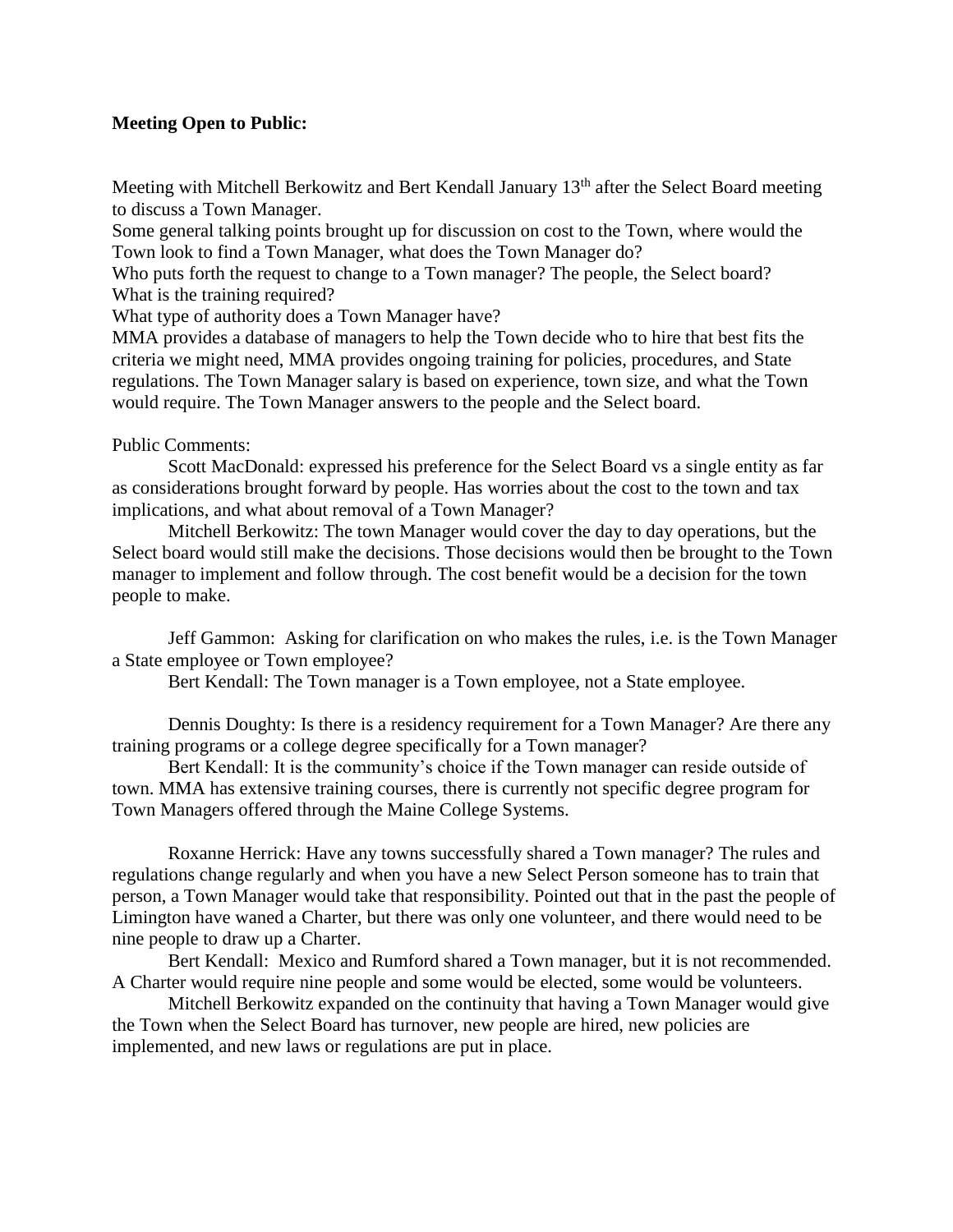## **Meeting Open to Public:**

Meeting with Mitchell Berkowitz and Bert Kendall January 13<sup>th</sup> after the Select Board meeting to discuss a Town Manager.

Some general talking points brought up for discussion on cost to the Town, where would the Town look to find a Town Manager, what does the Town Manager do?

Who puts forth the request to change to a Town manager? The people, the Select board? What is the training required?

What type of authority does a Town Manager have?

MMA provides a database of managers to help the Town decide who to hire that best fits the criteria we might need, MMA provides ongoing training for policies, procedures, and State regulations. The Town Manager salary is based on experience, town size, and what the Town would require. The Town Manager answers to the people and the Select board.

#### Public Comments:

Scott MacDonald: expressed his preference for the Select Board vs a single entity as far as considerations brought forward by people. Has worries about the cost to the town and tax implications, and what about removal of a Town Manager?

Mitchell Berkowitz: The town Manager would cover the day to day operations, but the Select board would still make the decisions. Those decisions would then be brought to the Town manager to implement and follow through. The cost benefit would be a decision for the town people to make.

Jeff Gammon: Asking for clarification on who makes the rules, i.e. is the Town Manager a State employee or Town employee?

Bert Kendall: The Town manager is a Town employee, not a State employee.

Dennis Doughty: Is there is a residency requirement for a Town Manager? Are there any training programs or a college degree specifically for a Town manager?

Bert Kendall: It is the community's choice if the Town manager can reside outside of town. MMA has extensive training courses, there is currently not specific degree program for Town Managers offered through the Maine College Systems.

Roxanne Herrick: Have any towns successfully shared a Town manager? The rules and regulations change regularly and when you have a new Select Person someone has to train that person, a Town Manager would take that responsibility. Pointed out that in the past the people of Limington have waned a Charter, but there was only one volunteer, and there would need to be nine people to draw up a Charter.

Bert Kendall: Mexico and Rumford shared a Town manager, but it is not recommended. A Charter would require nine people and some would be elected, some would be volunteers.

Mitchell Berkowitz expanded on the continuity that having a Town Manager would give the Town when the Select Board has turnover, new people are hired, new policies are implemented, and new laws or regulations are put in place.